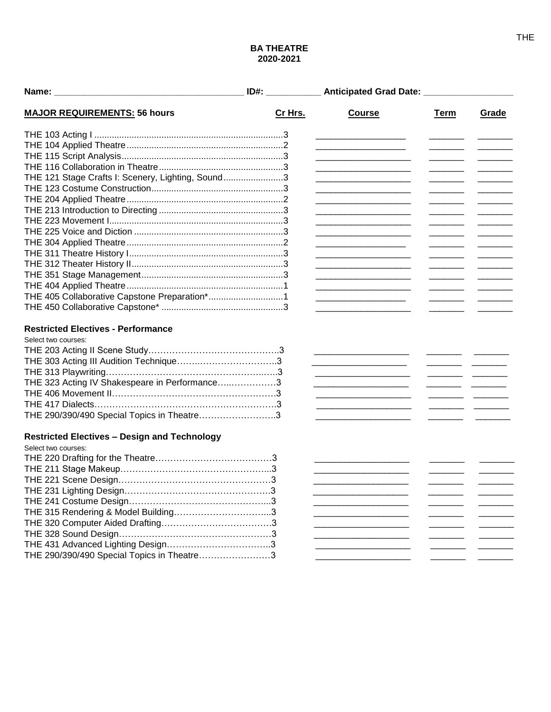## **BA THEATRE** 2020-2021

|                                                     | ID#:    | Anticipated Grad Date: ___________________                                                                            |                                                                                                                                                                                                                                                                                                                                                                                                        |       |
|-----------------------------------------------------|---------|-----------------------------------------------------------------------------------------------------------------------|--------------------------------------------------------------------------------------------------------------------------------------------------------------------------------------------------------------------------------------------------------------------------------------------------------------------------------------------------------------------------------------------------------|-------|
| <b>MAJOR REQUIREMENTS: 56 hours</b>                 | Cr Hrs. | <b>Course</b>                                                                                                         | Term                                                                                                                                                                                                                                                                                                                                                                                                   | Grade |
|                                                     |         |                                                                                                                       |                                                                                                                                                                                                                                                                                                                                                                                                        |       |
|                                                     |         |                                                                                                                       |                                                                                                                                                                                                                                                                                                                                                                                                        |       |
|                                                     |         |                                                                                                                       |                                                                                                                                                                                                                                                                                                                                                                                                        |       |
|                                                     |         |                                                                                                                       |                                                                                                                                                                                                                                                                                                                                                                                                        |       |
| THE 121 Stage Crafts I: Scenery, Lighting, Sound3   |         |                                                                                                                       |                                                                                                                                                                                                                                                                                                                                                                                                        |       |
|                                                     |         |                                                                                                                       |                                                                                                                                                                                                                                                                                                                                                                                                        |       |
|                                                     |         |                                                                                                                       |                                                                                                                                                                                                                                                                                                                                                                                                        |       |
|                                                     |         |                                                                                                                       |                                                                                                                                                                                                                                                                                                                                                                                                        |       |
|                                                     |         |                                                                                                                       |                                                                                                                                                                                                                                                                                                                                                                                                        |       |
|                                                     |         |                                                                                                                       |                                                                                                                                                                                                                                                                                                                                                                                                        |       |
|                                                     |         |                                                                                                                       |                                                                                                                                                                                                                                                                                                                                                                                                        |       |
|                                                     |         |                                                                                                                       |                                                                                                                                                                                                                                                                                                                                                                                                        |       |
|                                                     |         |                                                                                                                       |                                                                                                                                                                                                                                                                                                                                                                                                        |       |
|                                                     |         |                                                                                                                       |                                                                                                                                                                                                                                                                                                                                                                                                        |       |
|                                                     |         |                                                                                                                       |                                                                                                                                                                                                                                                                                                                                                                                                        |       |
| THE 405 Collaborative Capstone Preparation*1        |         |                                                                                                                       |                                                                                                                                                                                                                                                                                                                                                                                                        |       |
|                                                     |         | <u> 1980 - Johann Marie Barn, mars an t-Amerikaansk konst</u>                                                         |                                                                                                                                                                                                                                                                                                                                                                                                        |       |
|                                                     |         |                                                                                                                       |                                                                                                                                                                                                                                                                                                                                                                                                        |       |
| <b>Restricted Electives - Performance</b>           |         |                                                                                                                       |                                                                                                                                                                                                                                                                                                                                                                                                        |       |
| Select two courses:                                 |         |                                                                                                                       |                                                                                                                                                                                                                                                                                                                                                                                                        |       |
|                                                     |         |                                                                                                                       |                                                                                                                                                                                                                                                                                                                                                                                                        |       |
|                                                     |         | <u> 1990 - Johann John Stoff, mars and de Brandenburg (b. 1980)</u>                                                   |                                                                                                                                                                                                                                                                                                                                                                                                        |       |
|                                                     |         |                                                                                                                       | $\overline{\phantom{a}}$ . The contract of $\overline{\phantom{a}}$ and $\overline{\phantom{a}}$ and $\overline{\phantom{a}}$ and $\overline{\phantom{a}}$ and $\overline{\phantom{a}}$ and $\overline{\phantom{a}}$ and $\overline{\phantom{a}}$ and $\overline{\phantom{a}}$ and $\overline{\phantom{a}}$ and $\overline{\phantom{a}}$ and $\overline{\phantom{a}}$ and $\overline{\phantom{a}}$ and |       |
| THE 323 Acting IV Shakespeare in Performance3       |         |                                                                                                                       |                                                                                                                                                                                                                                                                                                                                                                                                        |       |
|                                                     |         | <u> 1989 - Johann Barbara, martxa alemani</u> a                                                                       |                                                                                                                                                                                                                                                                                                                                                                                                        |       |
|                                                     |         | <u> 1990 - Johann John Stone, mars et al. 1990 - 1991 - 1992 - 1993 - 1994 - 1994 - 1994 - 1994 - 1994 - 1994 - 1</u> |                                                                                                                                                                                                                                                                                                                                                                                                        |       |
| THE 290/390/490 Special Topics in Theatre3          |         |                                                                                                                       |                                                                                                                                                                                                                                                                                                                                                                                                        |       |
| <b>Restricted Electives - Design and Technology</b> |         |                                                                                                                       |                                                                                                                                                                                                                                                                                                                                                                                                        |       |
| Select two courses:                                 |         |                                                                                                                       |                                                                                                                                                                                                                                                                                                                                                                                                        |       |
|                                                     |         |                                                                                                                       |                                                                                                                                                                                                                                                                                                                                                                                                        |       |
|                                                     |         |                                                                                                                       |                                                                                                                                                                                                                                                                                                                                                                                                        |       |
|                                                     |         |                                                                                                                       |                                                                                                                                                                                                                                                                                                                                                                                                        |       |
|                                                     |         |                                                                                                                       |                                                                                                                                                                                                                                                                                                                                                                                                        |       |
|                                                     |         |                                                                                                                       |                                                                                                                                                                                                                                                                                                                                                                                                        |       |
|                                                     |         |                                                                                                                       |                                                                                                                                                                                                                                                                                                                                                                                                        |       |
|                                                     |         |                                                                                                                       |                                                                                                                                                                                                                                                                                                                                                                                                        |       |
|                                                     |         |                                                                                                                       |                                                                                                                                                                                                                                                                                                                                                                                                        |       |
|                                                     |         |                                                                                                                       |                                                                                                                                                                                                                                                                                                                                                                                                        |       |
| THE 290/390/490 Special Topics in Theatre3          |         |                                                                                                                       |                                                                                                                                                                                                                                                                                                                                                                                                        |       |
|                                                     |         |                                                                                                                       |                                                                                                                                                                                                                                                                                                                                                                                                        |       |